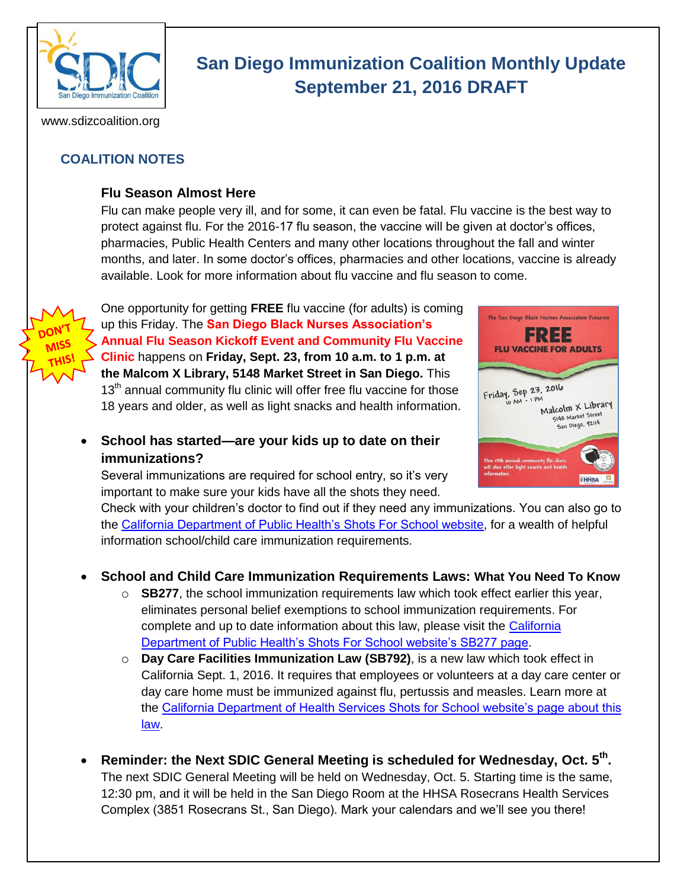

# **San Diego Immunization Coalition Monthly Update September 21, 2016 DRAFT**

www.sdizcoalition.org

# **COALITION NOTES**

#### **Flu Season Almost Here**

Flu can make people very ill, and for some, it can even be fatal. Flu vaccine is the best way to protect against flu. For the 2016-17 flu season, the vaccine will be given at doctor's offices, pharmacies, Public Health Centers and many other locations throughout the fall and winter months, and later. In some doctor's offices, pharmacies and other locations, vaccine is already available. Look for more information about flu vaccine and flu season to come.



One opportunity for getting **FREE** flu vaccine (for adults) is coming up this Friday. The **San Diego Black Nurses Association's Annual Flu Season Kickoff Event and Community Flu Vaccine Clinic** happens on **Friday, Sept. 23, from 10 a.m. to 1 p.m. at the Malcom X Library, 5148 Market Street in San Diego.** This  $13<sup>th</sup>$  annual community flu clinic will offer free flu vaccine for those 18 years and older, as well as light snacks and health information.

 **School has started—are your kids up to date on their immunizations?**

Several immunizations are required for school entry, so it's very important to make sure your kids have all the shots they need.



Check with your children's doctor to find out if they need any immunizations. You can also go to the [California Department of Public Health's Shots For School webs](http://www.shotsforschool.org/)ite, for a wealth of helpful information school/child care immunization requirements.

#### **School and Child Care Immunization Requirements Laws: What You Need To Know**

- o **SB277**, the school immunization requirements law which took effect earlier this year, eliminates personal belief exemptions to school immunization requirements. For complete and up to date information about this law, please visit the [California](http://www.shotsforschool.org/laws/exemptions/)  [Department of Public Health's Shots For](http://www.shotsforschool.org/laws/exemptions/) School website's SB277 page.
- o **Day Care Facilities Immunization Law (SB792)**, is a new law which took effect in California Sept. 1, 2016. It requires that employees or volunteers at a day care center or day care home must be immunized against flu, pertussis and measles. Learn more at the [California Department of Health Services Shots for School website's page about this](http://www.shotsforschool.org/child-care/requirements-for-employees-and-volunteers-at-day-care-centers/)  [law.](http://www.shotsforschool.org/child-care/requirements-for-employees-and-volunteers-at-day-care-centers/)
- Reminder: the Next SDIC General Meeting is scheduled for Wednesday, Oct. 5<sup>th</sup>. The next SDIC General Meeting will be held on Wednesday, Oct. 5. Starting time is the same, 12:30 pm, and it will be held in the San Diego Room at the HHSA Rosecrans Health Services Complex (3851 Rosecrans St., San Diego). Mark your calendars and we'll see you there!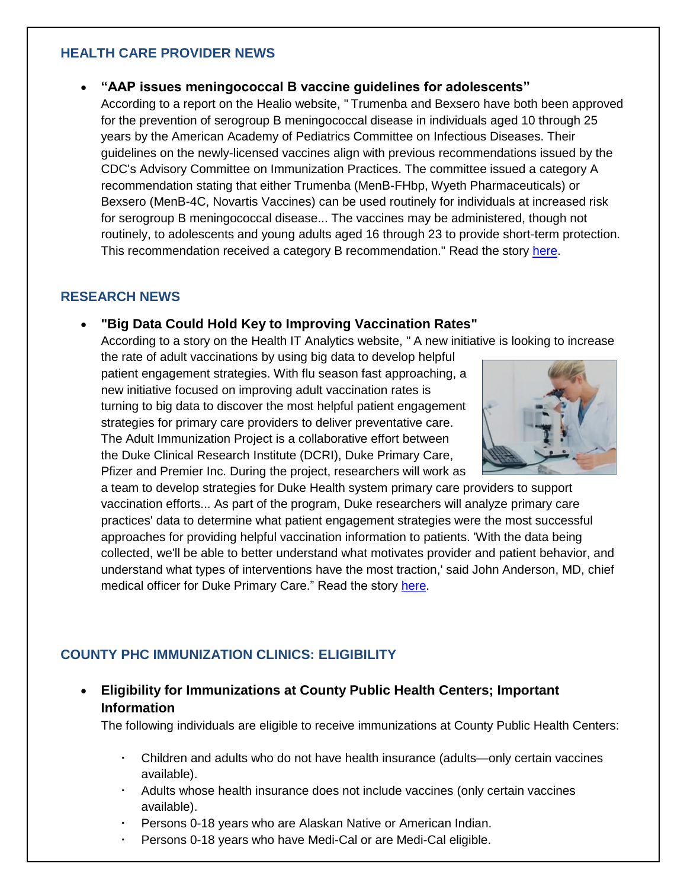#### **HEALTH CARE PROVIDER NEWS**

#### **"AAP issues meningococcal B vaccine guidelines for adolescents"**

According to a report on the Healio website, " Trumenba and Bexsero have both been approved for the prevention of serogroup B meningococcal disease in individuals aged 10 through 25 years by the American Academy of Pediatrics Committee on Infectious Diseases. Their guidelines on the newly-licensed vaccines align with previous recommendations issued by the CDC's Advisory Committee on Immunization Practices. The committee issued a category A recommendation stating that either Trumenba (MenB-FHbp, Wyeth Pharmaceuticals) or Bexsero (MenB-4C, Novartis Vaccines) can be used routinely for individuals at increased risk for serogroup B meningococcal disease... The vaccines may be administered, though not routinely, to adolescents and young adults aged 16 through 23 to provide short-term protection. This recommendation received a category B recommendation." Read the story [here.](http://www.healio.com/internal-medicine/vaccination/news/online/%7B9d42e15b-0c08-477d-8b1e-f28a59c545ea%7D/aap-issues-meningococcal-b-vaccine-guidelines-for-adolescents)

#### **RESEARCH NEWS**

#### **"Big Data Could Hold Key to Improving Vaccination Rates"**

According to a story on the Health IT Analytics website, " A new initiative is looking to increase

the rate of adult vaccinations by using big data to develop helpful patient engagement strategies. With flu season fast approaching, a new initiative focused on improving adult vaccination rates is turning to big data to discover the most helpful patient engagement strategies for primary care providers to deliver preventative care. The Adult Immunization Project is a collaborative effort between the Duke Clinical Research Institute (DCRI), Duke Primary Care, Pfizer and Premier Inc. During the project, researchers will work as



a team to develop strategies for Duke Health system primary care providers to support vaccination efforts... As part of the program, Duke researchers will analyze primary care practices' data to determine what patient engagement strategies were the most successful approaches for providing helpful vaccination information to patients. 'With the data being collected, we'll be able to better understand what motivates provider and patient behavior, and understand what types of interventions have the most traction,' said John Anderson, MD, chief medical officer for Duke Primary Care." Read the story [here.](http://healthitanalytics.com/news/big-data-could-hold-key-to-improving-)

## **COUNTY PHC IMMUNIZATION CLINICS: ELIGIBILITY**

 **Eligibility for Immunizations at County Public Health Centers; Important Information** 

The following individuals are eligible to receive immunizations at County Public Health Centers:

- Children and adults who do not have health insurance (adults—only certain vaccines available).
- Adults whose health insurance does not include vaccines (only certain vaccines available).
- Persons 0-18 years who are Alaskan Native or American Indian.
- Persons 0-18 years who have Medi-Cal or are Medi-Cal eligible.